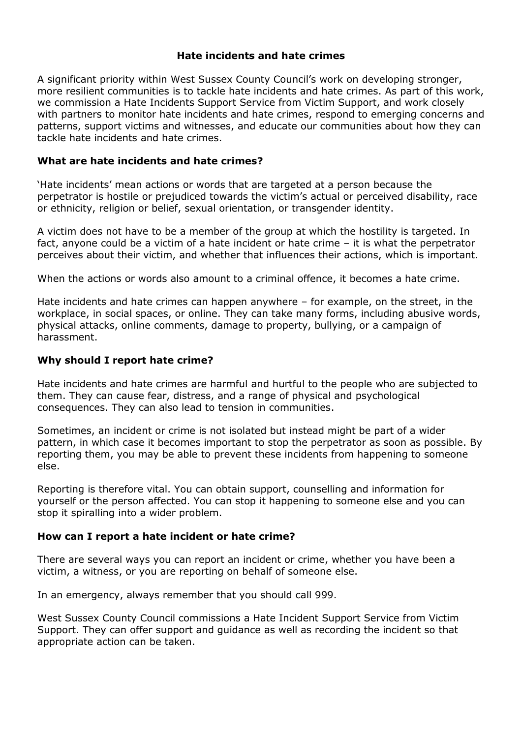### **Hate incidents and hate crimes**

A significant priority within West Sussex County Council's work on developing stronger, more resilient communities is to tackle hate incidents and hate crimes. As part of this work, we commission a Hate Incidents Support Service from Victim Support, and work closely with partners to monitor hate incidents and hate crimes, respond to emerging concerns and patterns, support victims and witnesses, and educate our communities about how they can tackle hate incidents and hate crimes.

## **What are hate incidents and hate crimes?**

'Hate incidents' mean actions or words that are targeted at a person because the perpetrator is hostile or prejudiced towards the victim's actual or perceived disability, race or ethnicity, religion or belief, sexual orientation, or transgender identity.

A victim does not have to be a member of the group at which the hostility is targeted. In fact, anyone could be a victim of a hate incident or hate crime – it is what the perpetrator perceives about their victim, and whether that influences their actions, which is important.

When the actions or words also amount to a criminal offence, it becomes a hate crime.

Hate incidents and hate crimes can happen anywhere – for example, on the street, in the workplace, in social spaces, or online. They can take many forms, including abusive words, physical attacks, online comments, damage to property, bullying, or a campaign of harassment.

## **Why should I report hate crime?**

Hate incidents and hate crimes are harmful and hurtful to the people who are subjected to them. They can cause fear, distress, and a range of physical and psychological consequences. They can also lead to tension in communities.

Sometimes, an incident or crime is not isolated but instead might be part of a wider pattern, in which case it becomes important to stop the perpetrator as soon as possible. By reporting them, you may be able to prevent these incidents from happening to someone else.

Reporting is therefore vital. You can obtain support, counselling and information for yourself or the person affected. You can stop it happening to someone else and you can stop it spiralling into a wider problem.

### **How can I report a hate incident or hate crime?**

There are several ways you can report an incident or crime, whether you have been a victim, a witness, or you are reporting on behalf of someone else.

In an emergency, always remember that you should call 999.

West Sussex County Council commissions a Hate Incident Support Service from Victim Support. They can offer support and guidance as well as recording the incident so that appropriate action can be taken.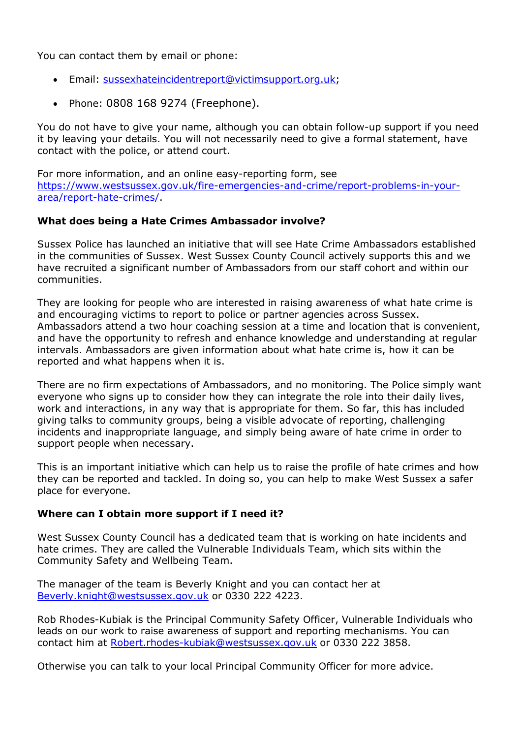You can contact them by email or phone:

- Email: [sussexhateincidentreport@victimsupport.org.uk;](mailto:sussexhateincidentreport@victimsupport.org.uk)
- Phone: 0808 168 9274 (Freephone).

You do not have to give your name, although you can obtain follow-up support if you need it by leaving your details. You will not necessarily need to give a formal statement, have contact with the police, or attend court.

For more information, and an online easy-reporting form, see [https://www.westsussex.gov.uk/fire-emergencies-and-crime/report-problems-in-your](https://www.westsussex.gov.uk/fire-emergencies-and-crime/report-problems-in-your-area/report-hate-crimes/)[area/report-hate-crimes/.](https://www.westsussex.gov.uk/fire-emergencies-and-crime/report-problems-in-your-area/report-hate-crimes/)

### **What does being a Hate Crimes Ambassador involve?**

Sussex Police has launched an initiative that will see Hate Crime Ambassadors established in the communities of Sussex. West Sussex County Council actively supports this and we have recruited a significant number of Ambassadors from our staff cohort and within our communities.

They are looking for people who are interested in raising awareness of what hate crime is and encouraging victims to report to police or partner agencies across Sussex. Ambassadors attend a two hour coaching session at a time and location that is convenient, and have the opportunity to refresh and enhance knowledge and understanding at regular intervals. Ambassadors are given information about what hate crime is, how it can be reported and what happens when it is.

There are no firm expectations of Ambassadors, and no monitoring. The Police simply want everyone who signs up to consider how they can integrate the role into their daily lives, work and interactions, in any way that is appropriate for them. So far, this has included giving talks to community groups, being a visible advocate of reporting, challenging incidents and inappropriate language, and simply being aware of hate crime in order to support people when necessary.

This is an important initiative which can help us to raise the profile of hate crimes and how they can be reported and tackled. In doing so, you can help to make West Sussex a safer place for everyone.

### **Where can I obtain more support if I need it?**

West Sussex County Council has a dedicated team that is working on hate incidents and hate crimes. They are called the Vulnerable Individuals Team, which sits within the Community Safety and Wellbeing Team.

The manager of the team is Beverly Knight and you can contact her at [Beverly.knight@westsussex.gov.uk](mailto:Beverly.knight@westsussex.gov.uk) or 0330 222 4223.

Rob Rhodes-Kubiak is the Principal Community Safety Officer, Vulnerable Individuals who leads on our work to raise awareness of support and reporting mechanisms. You can contact him at [Robert.rhodes-kubiak@westsussex.gov.uk](mailto:Robert.rhodes-kubiak@westsussex.gov.uk) or 0330 222 3858.

Otherwise you can talk to your local Principal Community Officer for more advice.